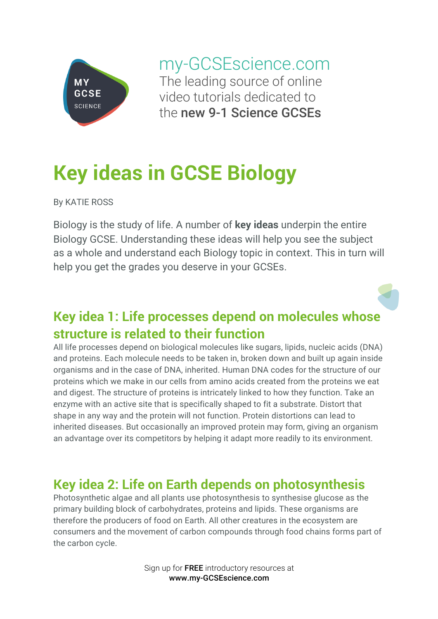

my-GCSEscience.com The leading source of online video tutorials dedicated to the new 9-1 Science GCSEs

# **Key ideas in GCSE Biology**

By KATIE ROSS

Biology is the study of life. A number of **key ideas** underpin the entire Biology GCSE. Understanding these ideas will help you see the subject as a whole and understand each Biology topic in context. This in turn will help you get the grades you deserve in your GCSEs.

# **Key idea 1: Life processes depend on molecules whose structure is related to their function**

All life processes depend on biological molecules like sugars, lipids, nucleic acids (DNA) and proteins. Each molecule needs to be taken in, broken down and built up again inside organisms and in the case of DNA, inherited. Human DNA codes for the structure of our proteins which we make in our cells from amino acids created from the proteins we eat and digest. The structure of proteins is intricately linked to how they function. Take an enzyme with an active site that is specifically shaped to fit a substrate. Distort that shape in any way and the protein will not function. Protein distortions can lead to inherited diseases. But occasionally an improved protein may form, giving an organism an advantage over its competitors by helping it adapt more readily to its environment.

### **Key idea 2: Life on Earth depends on photosynthesis**

Photosynthetic algae and all plants use photosynthesis to synthesise glucose as the primary building block of carbohydrates, proteins and lipids. These organisms are therefore the producers of food on Earth. All other creatures in the ecosystem are consumers and the movement of carbon compounds through food chains forms part of the carbon cycle.

> Sign up for FREE introductory resources at www.my-GCSEscience.com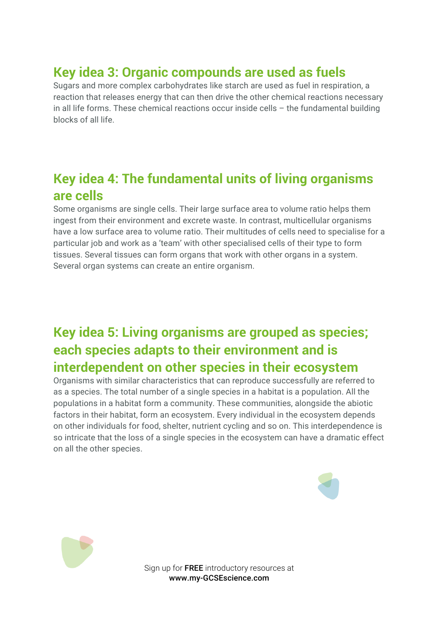# **Key idea 3: Organic compounds are used as fuels**

Sugars and more complex carbohydrates like starch are used as fuel in respiration, a reaction that releases energy that can then drive the other chemical reactions necessary in all life forms. These chemical reactions occur inside cells – the fundamental building blocks of all life.

### **Key idea 4: The fundamental units of living organisms are cells**

Some organisms are single cells. Their large surface area to volume ratio helps them ingest from their environment and excrete waste. In contrast, multicellular organisms have a low surface area to volume ratio. Their multitudes of cells need to specialise for a particular job and work as a 'team' with other specialised cells of their type to form tissues. Several tissues can form organs that work with other organs in a system. Several organ systems can create an entire organism.

### **Key idea 5: Living organisms are grouped as species; each species adapts to their environment and is interdependent on other species in their ecosystem**

Organisms with similar characteristics that can reproduce successfully are referred to as a species. The total number of a single species in a habitat is a population. All the populations in a habitat form a community. These communities, alongside the abiotic factors in their habitat, form an ecosystem. Every individual in the ecosystem depends on other individuals for food, shelter, nutrient cycling and so on. This interdependence is so intricate that the loss of a single species in the ecosystem can have a dramatic effect on all the other species.





Sign up for FREE introductory resources at www.my-GCSEscience.com